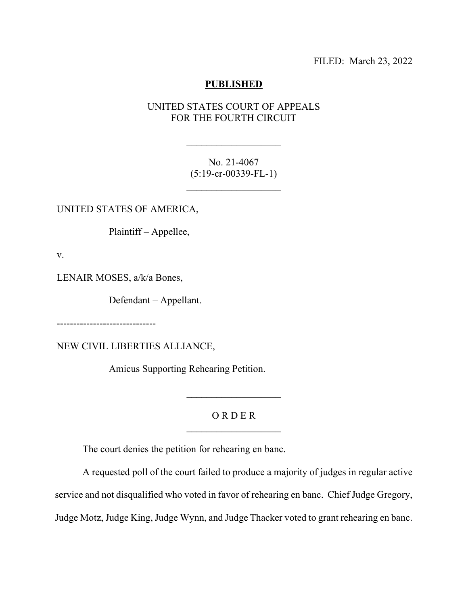FILED: March 23, 2022

## **PUBLISHED**

## UNITED STATES COURT OF APPEALS FOR THE FOURTH CIRCUIT

 $\mathcal{L}_\text{max}$  , where  $\mathcal{L}_\text{max}$ 

No. 21-4067 (5:19-cr-00339-FL-1)

 $\mathcal{L}_\text{max}$  , where  $\mathcal{L}_\text{max}$ 

UNITED STATES OF AMERICA,

Plaintiff – Appellee,

v.

LENAIR MOSES, a/k/a Bones,

Defendant – Appellant.

------------------------------

NEW CIVIL LIBERTIES ALLIANCE,

Amicus Supporting Rehearing Petition.

## O R D E R  $\mathcal{L}_\text{max}$  , where  $\mathcal{L}_\text{max}$

 $\frac{1}{2}$  ,  $\frac{1}{2}$  ,  $\frac{1}{2}$  ,  $\frac{1}{2}$  ,  $\frac{1}{2}$  ,  $\frac{1}{2}$  ,  $\frac{1}{2}$  ,  $\frac{1}{2}$  ,  $\frac{1}{2}$  ,  $\frac{1}{2}$  ,  $\frac{1}{2}$  ,  $\frac{1}{2}$  ,  $\frac{1}{2}$  ,  $\frac{1}{2}$  ,  $\frac{1}{2}$  ,  $\frac{1}{2}$  ,  $\frac{1}{2}$  ,  $\frac{1}{2}$  ,  $\frac{1$ 

The court denies the petition for rehearing en banc.

A requested poll of the court failed to produce a majority of judges in regular active

service and not disqualified who voted in favor of rehearing en banc. Chief Judge Gregory,

Judge Motz, Judge King, Judge Wynn, and Judge Thacker voted to grant rehearing en banc.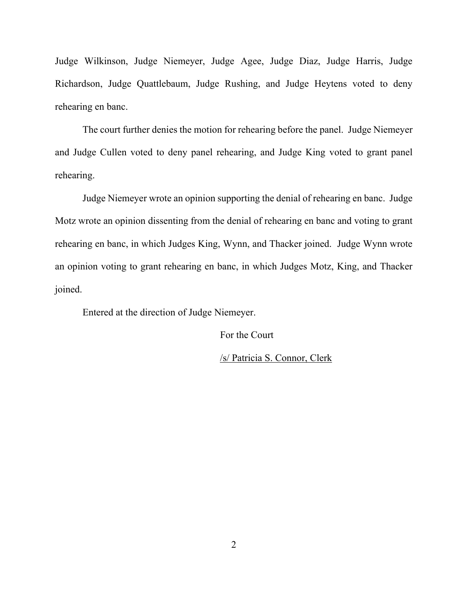Judge Wilkinson, Judge Niemeyer, Judge Agee, Judge Diaz, Judge Harris, Judge Richardson, Judge Quattlebaum, Judge Rushing, and Judge Heytens voted to deny rehearing en banc.

The court further denies the motion for rehearing before the panel. Judge Niemeyer and Judge Cullen voted to deny panel rehearing, and Judge King voted to grant panel rehearing.

Judge Niemeyer wrote an opinion supporting the denial of rehearing en banc. Judge Motz wrote an opinion dissenting from the denial of rehearing en banc and voting to grant rehearing en banc, in which Judges King, Wynn, and Thacker joined. Judge Wynn wrote an opinion voting to grant rehearing en banc, in which Judges Motz, King, and Thacker joined.

Entered at the direction of Judge Niemeyer.

For the Court

/s/ Patricia S. Connor, Clerk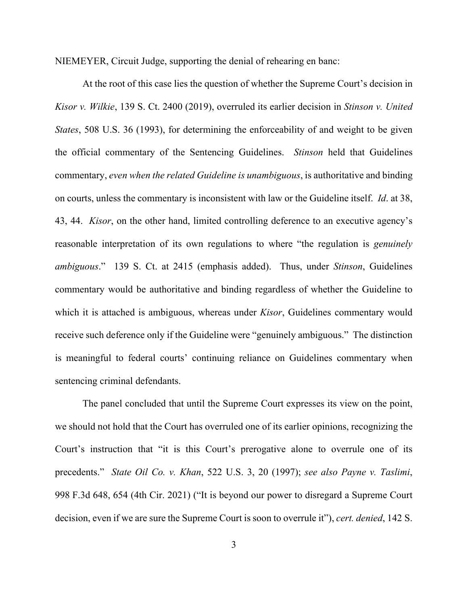NIEMEYER, Circuit Judge, supporting the denial of rehearing en banc:

At the root of this case lies the question of whether the Supreme Court's decision in *Kisor v. Wilkie*, 139 S. Ct. 2400 (2019), overruled its earlier decision in *Stinson v. United States*, 508 U.S. 36 (1993), for determining the enforceability of and weight to be given the official commentary of the Sentencing Guidelines. *Stinson* held that Guidelines commentary, *even when the related Guideline is unambiguous*, is authoritative and binding on courts, unless the commentary is inconsistent with law or the Guideline itself. *Id*. at 38, 43, 44. *Kisor*, on the other hand, limited controlling deference to an executive agency's reasonable interpretation of its own regulations to where "the regulation is *genuinely ambiguous*." 139 S. Ct. at 2415 (emphasis added). Thus, under *Stinson*, Guidelines commentary would be authoritative and binding regardless of whether the Guideline to which it is attached is ambiguous, whereas under *Kisor*, Guidelines commentary would receive such deference only if the Guideline were "genuinely ambiguous." The distinction is meaningful to federal courts' continuing reliance on Guidelines commentary when sentencing criminal defendants.

The panel concluded that until the Supreme Court expresses its view on the point, we should not hold that the Court has overruled one of its earlier opinions, recognizing the Court's instruction that "it is this Court's prerogative alone to overrule one of its precedents." *State Oil Co. v. Khan*, 522 U.S. 3, 20 (1997); *see also Payne v. Taslimi*, 998 F.3d 648, 654 (4th Cir. 2021) ("It is beyond our power to disregard a Supreme Court decision, even if we are sure the Supreme Court is soon to overrule it"), *cert. denied*, 142 S.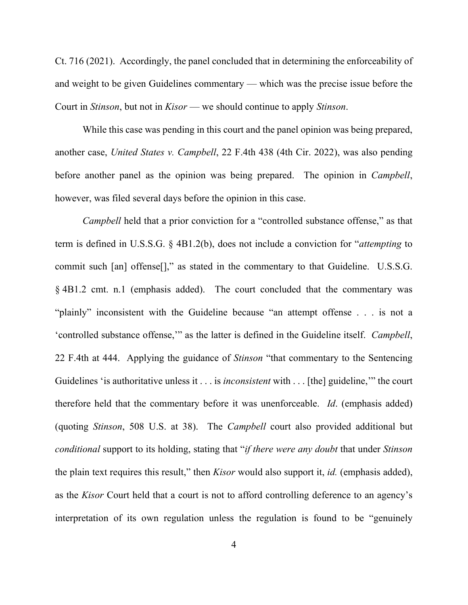Ct. 716 (2021). Accordingly, the panel concluded that in determining the enforceability of and weight to be given Guidelines commentary — which was the precise issue before the Court in *Stinson*, but not in *Kisor* — we should continue to apply *Stinson*.

While this case was pending in this court and the panel opinion was being prepared, another case, *United States v. Campbell*, 22 F.4th 438 (4th Cir. 2022), was also pending before another panel as the opinion was being prepared. The opinion in *Campbell*, however, was filed several days before the opinion in this case.

*Campbell* held that a prior conviction for a "controlled substance offense," as that term is defined in U.S.S.G. § 4B1.2(b), does not include a conviction for "*attempting* to commit such [an] offense[]," as stated in the commentary to that Guideline. U.S.S.G. § 4B1.2 cmt. n.1 (emphasis added). The court concluded that the commentary was "plainly" inconsistent with the Guideline because "an attempt offense . . . is not a 'controlled substance offense,'" as the latter is defined in the Guideline itself. *Campbell*, 22 F.4th at 444. Applying the guidance of *Stinson* "that commentary to the Sentencing Guidelines 'is authoritative unless it . . . is *inconsistent* with . . . [the] guideline,'" the court therefore held that the commentary before it was unenforceable. *Id*. (emphasis added) (quoting *Stinson*, 508 U.S. at 38). The *Campbell* court also provided additional but *conditional* support to its holding, stating that "*if there were any doubt* that under *Stinson* the plain text requires this result," then *Kisor* would also support it, *id.* (emphasis added), as the *Kisor* Court held that a court is not to afford controlling deference to an agency's interpretation of its own regulation unless the regulation is found to be "genuinely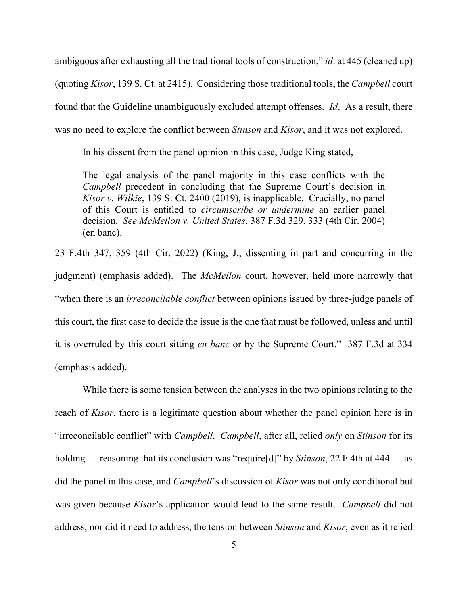ambiguous after exhausting all the traditional tools of construction," *id*. at 445 (cleaned up) (quoting *Kisor*, 139 S. Ct. at 2415). Considering those traditional tools, the *Campbell* court found that the Guideline unambiguously excluded attempt offenses. *Id*. As a result, there was no need to explore the conflict between *Stinson* and *Kisor*, and it was not explored.

In his dissent from the panel opinion in this case, Judge King stated,

The legal analysis of the panel majority in this case conflicts with the *Campbell* precedent in concluding that the Supreme Court's decision in *Kisor v. Wilkie*, 139 S. Ct. 2400 (2019), is inapplicable. Crucially, no panel of this Court is entitled to *circumscribe or undermine* an earlier panel decision. *See McMellon v. United States*, 387 F.3d 329, 333 (4th Cir. 2004) (en banc).

23 F.4th 347, 359 (4th Cir. 2022) (King, J., dissenting in part and concurring in the judgment) (emphasis added). The *McMellon* court, however, held more narrowly that "when there is an *irreconcilable conflict* between opinions issued by three-judge panels of this court, the first case to decide the issue is the one that must be followed, unless and until it is overruled by this court sitting *en banc* or by the Supreme Court." 387 F.3d at 334 (emphasis added).

While there is some tension between the analyses in the two opinions relating to the reach of *Kisor*, there is a legitimate question about whether the panel opinion here is in "irreconcilable conflict" with *Campbell*. *Campbell*, after all, relied *only* on *Stinson* for its holding — reasoning that its conclusion was "require[d]" by *Stinson*, 22 F.4th at 444 — as did the panel in this case, and *Campbell*'s discussion of *Kisor* was not only conditional but was given because *Kisor*'s application would lead to the same result. *Campbell* did not address, nor did it need to address, the tension between *Stinson* and *Kisor*, even as it relied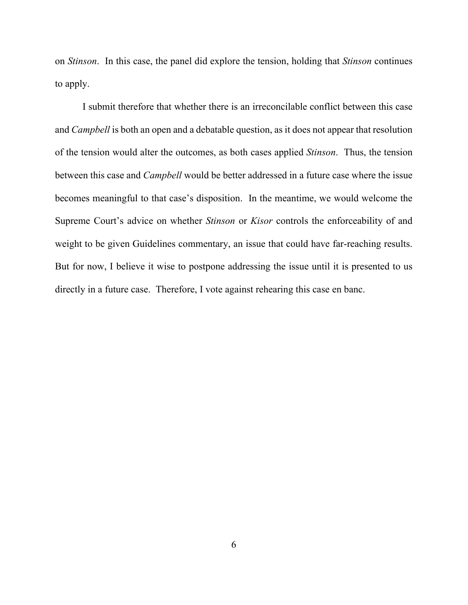on *Stinson*. In this case, the panel did explore the tension, holding that *Stinson* continues to apply.

I submit therefore that whether there is an irreconcilable conflict between this case and *Campbell* is both an open and a debatable question, as it does not appear that resolution of the tension would alter the outcomes, as both cases applied *Stinson*. Thus, the tension between this case and *Campbell* would be better addressed in a future case where the issue becomes meaningful to that case's disposition. In the meantime, we would welcome the Supreme Court's advice on whether *Stinson* or *Kisor* controls the enforceability of and weight to be given Guidelines commentary, an issue that could have far-reaching results. But for now, I believe it wise to postpone addressing the issue until it is presented to us directly in a future case. Therefore, I vote against rehearing this case en banc.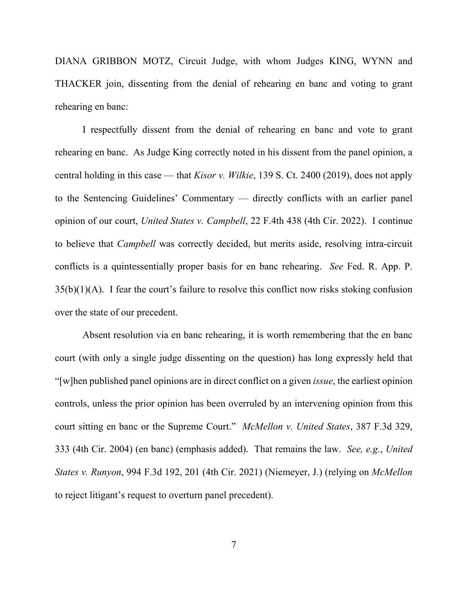DIANA GRIBBON MOTZ, Circuit Judge, with whom Judges KING, WYNN and THACKER join, dissenting from the denial of rehearing en banc and voting to grant rehearing en banc:

I respectfully dissent from the denial of rehearing en banc and vote to grant rehearing en banc. As Judge King correctly noted in his dissent from the panel opinion, a central holding in this case — that *Kisor v. Wilkie*, 139 S. Ct. 2400 (2019), does not apply to the Sentencing Guidelines' Commentary — directly conflicts with an earlier panel opinion of our court, *United States v. Campbell*, 22 F.4th 438 (4th Cir. 2022). I continue to believe that *Campbell* was correctly decided, but merits aside, resolving intra-circuit conflicts is a quintessentially proper basis for en banc rehearing. *See* Fed. R. App. P.  $35(b)(1)(A)$ . I fear the court's failure to resolve this conflict now risks stoking confusion over the state of our precedent.

Absent resolution via en banc rehearing, it is worth remembering that the en banc court (with only a single judge dissenting on the question) has long expressly held that "[w]hen published panel opinions are in direct conflict on a given *issue*, the earliest opinion controls, unless the prior opinion has been overruled by an intervening opinion from this court sitting en banc or the Supreme Court." *McMellon v. United States*, 387 F.3d 329, 333 (4th Cir. 2004) (en banc) (emphasis added). That remains the law. *See, e.g.*, *United States v. Runyon*, 994 F.3d 192, 201 (4th Cir. 2021) (Niemeyer, J.) (relying on *McMellon*  to reject litigant's request to overturn panel precedent).

7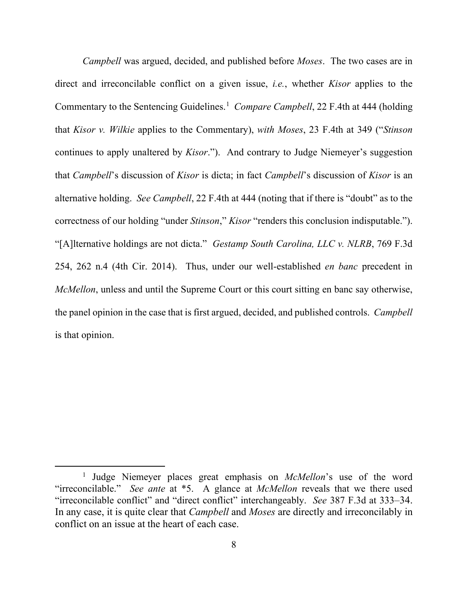*Campbell* was argued, decided, and published before *Moses*. The two cases are in direct and irreconcilable conflict on a given issue, *i.e.*, whether *Kisor* applies to the Commentary to the Sentencing Guidelines.<sup>[1](#page-7-0)</sup> Compare Campbell, 22 F.4th at 444 (holding that *Kisor v. Wilkie* applies to the Commentary), *with Moses*, 23 F.4th at 349 ("*Stinson*  continues to apply unaltered by *Kisor*."). And contrary to Judge Niemeyer's suggestion that *Campbell*'s discussion of *Kisor* is dicta; in fact *Campbell*'s discussion of *Kisor* is an alternative holding. *See Campbell*, 22 F.4th at 444 (noting that if there is "doubt" as to the correctness of our holding "under *Stinson*," *Kisor* "renders this conclusion indisputable."). "[A]lternative holdings are not dicta." *Gestamp South Carolina, LLC v. NLRB*, 769 F.3d 254, 262 n.4 (4th Cir. 2014). Thus, under our well-established *en banc* precedent in *McMellon*, unless and until the Supreme Court or this court sitting en banc say otherwise, the panel opinion in the case that is first argued, decided, and published controls. *Campbell*  is that opinion.

<span id="page-7-0"></span><sup>1</sup> Judge Niemeyer places great emphasis on *McMellon*'s use of the word "irreconcilable." *See ante* at \*5. A glance at *McMellon* reveals that we there used "irreconcilable conflict" and "direct conflict" interchangeably. *See* 387 F.3d at 333–34. In any case, it is quite clear that *Campbell* and *Moses* are directly and irreconcilably in conflict on an issue at the heart of each case.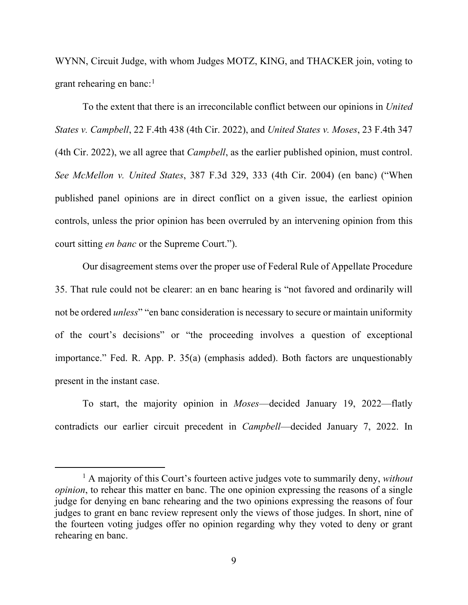WYNN, Circuit Judge, with whom Judges MOTZ, KING, and THACKER join, voting to grant rehearing en banc:<sup>[1](#page-8-0)</sup>

To the extent that there is an irreconcilable conflict between our opinions in *United States v. Campbell*, 22 F.4th 438 (4th Cir. 2022), and *United States v. Moses*, 23 F.4th 347 (4th Cir. 2022), we all agree that *Campbell*, as the earlier published opinion, must control. *See McMellon v. United States*, 387 F.3d 329, 333 (4th Cir. 2004) (en banc) ("When published panel opinions are in direct conflict on a given issue, the earliest opinion controls, unless the prior opinion has been overruled by an intervening opinion from this court sitting *en banc* or the Supreme Court.").

Our disagreement stems over the proper use of Federal Rule of Appellate Procedure 35. That rule could not be clearer: an en banc hearing is "not favored and ordinarily will not be ordered *unless*" "en banc consideration is necessary to secure or maintain uniformity of the court's decisions" or "the proceeding involves a question of exceptional importance." Fed. R. App. P. 35(a) (emphasis added). Both factors are unquestionably present in the instant case.

To start, the majority opinion in *Moses*—decided January 19, 2022—flatly contradicts our earlier circuit precedent in *Campbell*—decided January 7, 2022. In

<span id="page-8-0"></span><sup>1</sup> A majority of this Court's fourteen active judges vote to summarily deny, *without opinion*, to rehear this matter en banc. The one opinion expressing the reasons of a single judge for denying en banc rehearing and the two opinions expressing the reasons of four judges to grant en banc review represent only the views of those judges. In short, nine of the fourteen voting judges offer no opinion regarding why they voted to deny or grant rehearing en banc.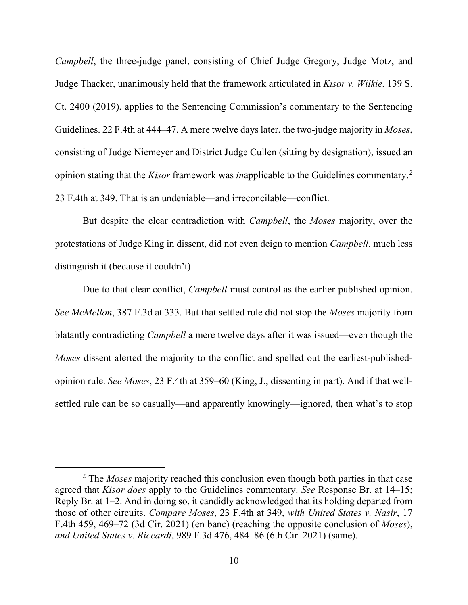*Campbell*, the three-judge panel, consisting of Chief Judge Gregory, Judge Motz, and Judge Thacker, unanimously held that the framework articulated in *Kisor v. Wilkie*, 139 S. Ct. 2400 (2019), applies to the Sentencing Commission's commentary to the Sentencing Guidelines. 22 F.4th at 444–47. A mere twelve days later, the two-judge majority in *Moses*, consisting of Judge Niemeyer and District Judge Cullen (sitting by designation), issued an opinion stating that the *Kisor* framework was *in*applicable to the Guidelines commentary.[2](#page-9-0) 23 F.4th at 349. That is an undeniable—and irreconcilable—conflict.

But despite the clear contradiction with *Campbell*, the *Moses* majority, over the protestations of Judge King in dissent, did not even deign to mention *Campbell*, much less distinguish it (because it couldn't).

Due to that clear conflict, *Campbell* must control as the earlier published opinion. *See McMellon*, 387 F.3d at 333. But that settled rule did not stop the *Moses* majority from blatantly contradicting *Campbell* a mere twelve days after it was issued—even though the *Moses* dissent alerted the majority to the conflict and spelled out the earliest-publishedopinion rule. *See Moses*, 23 F.4th at 359–60 (King, J., dissenting in part). And if that wellsettled rule can be so casually—and apparently knowingly—ignored, then what's to stop

<span id="page-9-0"></span><sup>2</sup> The *Moses* majority reached this conclusion even though both parties in that case agreed that *Kisor does* apply to the Guidelines commentary. *See* Response Br. at 14–15; Reply Br. at 1–2. And in doing so, it candidly acknowledged that its holding departed from those of other circuits. *Compare Moses*, 23 F.4th at 349, *with United States v. Nasir*, 17 F.4th 459, 469–72 (3d Cir. 2021) (en banc) (reaching the opposite conclusion of *Moses*), *and United States v. Riccardi*, 989 F.3d 476, 484–86 (6th Cir. 2021) (same).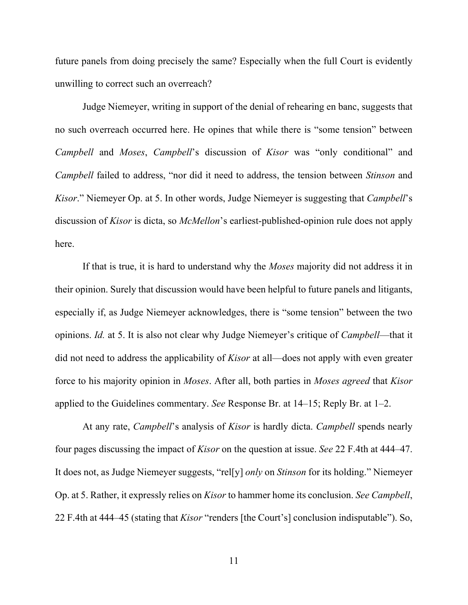future panels from doing precisely the same? Especially when the full Court is evidently unwilling to correct such an overreach?

Judge Niemeyer, writing in support of the denial of rehearing en banc, suggests that no such overreach occurred here. He opines that while there is "some tension" between *Campbell* and *Moses*, *Campbell*'s discussion of *Kisor* was "only conditional" and *Campbell* failed to address, "nor did it need to address, the tension between *Stinson* and *Kisor*." Niemeyer Op. at 5. In other words, Judge Niemeyer is suggesting that *Campbell*'s discussion of *Kisor* is dicta, so *McMellon*'s earliest-published-opinion rule does not apply here.

If that is true, it is hard to understand why the *Moses* majority did not address it in their opinion. Surely that discussion would have been helpful to future panels and litigants, especially if, as Judge Niemeyer acknowledges, there is "some tension" between the two opinions. *Id.* at 5. It is also not clear why Judge Niemeyer's critique of *Campbell*—that it did not need to address the applicability of *Kisor* at all—does not apply with even greater force to his majority opinion in *Moses*. After all, both parties in *Moses agreed* that *Kisor* applied to the Guidelines commentary. *See* Response Br. at 14–15; Reply Br. at 1–2.

At any rate, *Campbell*'s analysis of *Kisor* is hardly dicta. *Campbell* spends nearly four pages discussing the impact of *Kisor* on the question at issue. *See* 22 F.4th at 444–47. It does not, as Judge Niemeyer suggests, "rel[y] *only* on *Stinson* for its holding." Niemeyer Op. at 5. Rather, it expressly relies on *Kisor* to hammer home its conclusion. *See Campbell*, 22 F.4th at 444–45 (stating that *Kisor* "renders [the Court's] conclusion indisputable"). So,

11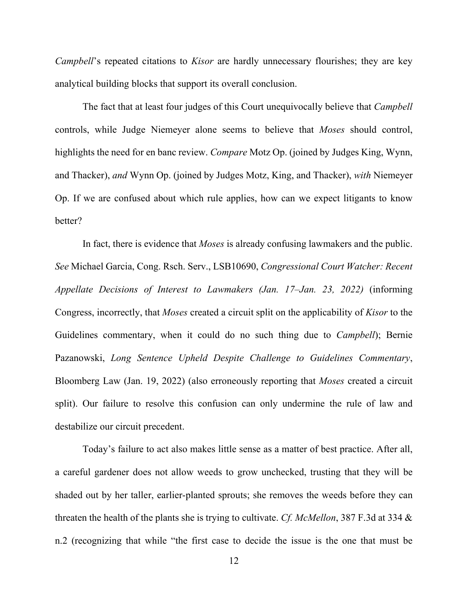*Campbell*'s repeated citations to *Kisor* are hardly unnecessary flourishes; they are key analytical building blocks that support its overall conclusion.

The fact that at least four judges of this Court unequivocally believe that *Campbell* controls, while Judge Niemeyer alone seems to believe that *Moses* should control, highlights the need for en banc review. *Compare* Motz Op. (joined by Judges King, Wynn, and Thacker), *and* Wynn Op. (joined by Judges Motz, King, and Thacker), *with* Niemeyer Op. If we are confused about which rule applies, how can we expect litigants to know better?

In fact, there is evidence that *Moses* is already confusing lawmakers and the public. *See* Michael Garcia, Cong. Rsch. Serv., LSB10690, *Congressional Court Watcher: Recent Appellate Decisions of Interest to Lawmakers (Jan. 17–Jan. 23, 2022)* (informing Congress, incorrectly, that *Moses* created a circuit split on the applicability of *Kisor* to the Guidelines commentary, when it could do no such thing due to *Campbell*); Bernie Pazanowski, *Long Sentence Upheld Despite Challenge to Guidelines Commentary*, Bloomberg Law (Jan. 19, 2022) (also erroneously reporting that *Moses* created a circuit split). Our failure to resolve this confusion can only undermine the rule of law and destabilize our circuit precedent.

Today's failure to act also makes little sense as a matter of best practice. After all, a careful gardener does not allow weeds to grow unchecked, trusting that they will be shaded out by her taller, earlier-planted sprouts; she removes the weeds before they can threaten the health of the plants she is trying to cultivate. *Cf. McMellon*, 387 F.3d at 334 & n.2 (recognizing that while "the first case to decide the issue is the one that must be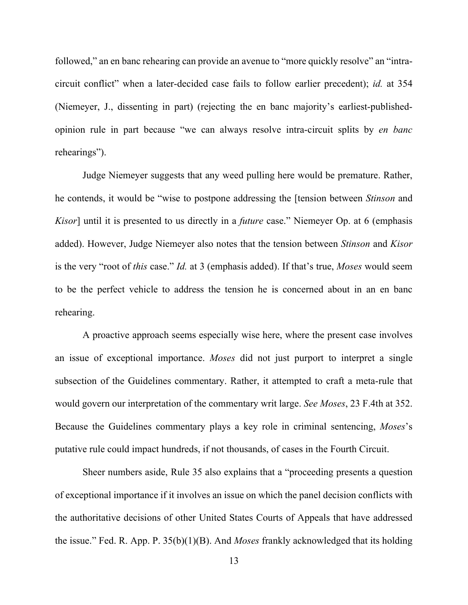followed," an en banc rehearing can provide an avenue to "more quickly resolve" an "intracircuit conflict" when a later-decided case fails to follow earlier precedent); *id.* at 354 (Niemeyer, J., dissenting in part) (rejecting the en banc majority's earliest-publishedopinion rule in part because "we can always resolve intra-circuit splits by *en banc* rehearings").

Judge Niemeyer suggests that any weed pulling here would be premature. Rather, he contends, it would be "wise to postpone addressing the [tension between *Stinson* and *Kisor*] until it is presented to us directly in a *future* case." Niemeyer Op. at 6 (emphasis added). However, Judge Niemeyer also notes that the tension between *Stinson* and *Kisor* is the very "root of *this* case." *Id.* at 3 (emphasis added). If that's true, *Moses* would seem to be the perfect vehicle to address the tension he is concerned about in an en banc rehearing.

A proactive approach seems especially wise here, where the present case involves an issue of exceptional importance. *Moses* did not just purport to interpret a single subsection of the Guidelines commentary. Rather, it attempted to craft a meta-rule that would govern our interpretation of the commentary writ large. *See Moses*, 23 F.4th at 352. Because the Guidelines commentary plays a key role in criminal sentencing, *Moses*'s putative rule could impact hundreds, if not thousands, of cases in the Fourth Circuit.

Sheer numbers aside, Rule 35 also explains that a "proceeding presents a question of exceptional importance if it involves an issue on which the panel decision conflicts with the authoritative decisions of other United States Courts of Appeals that have addressed the issue." Fed. R. App. P. 35(b)(1)(B). And *Moses* frankly acknowledged that its holding